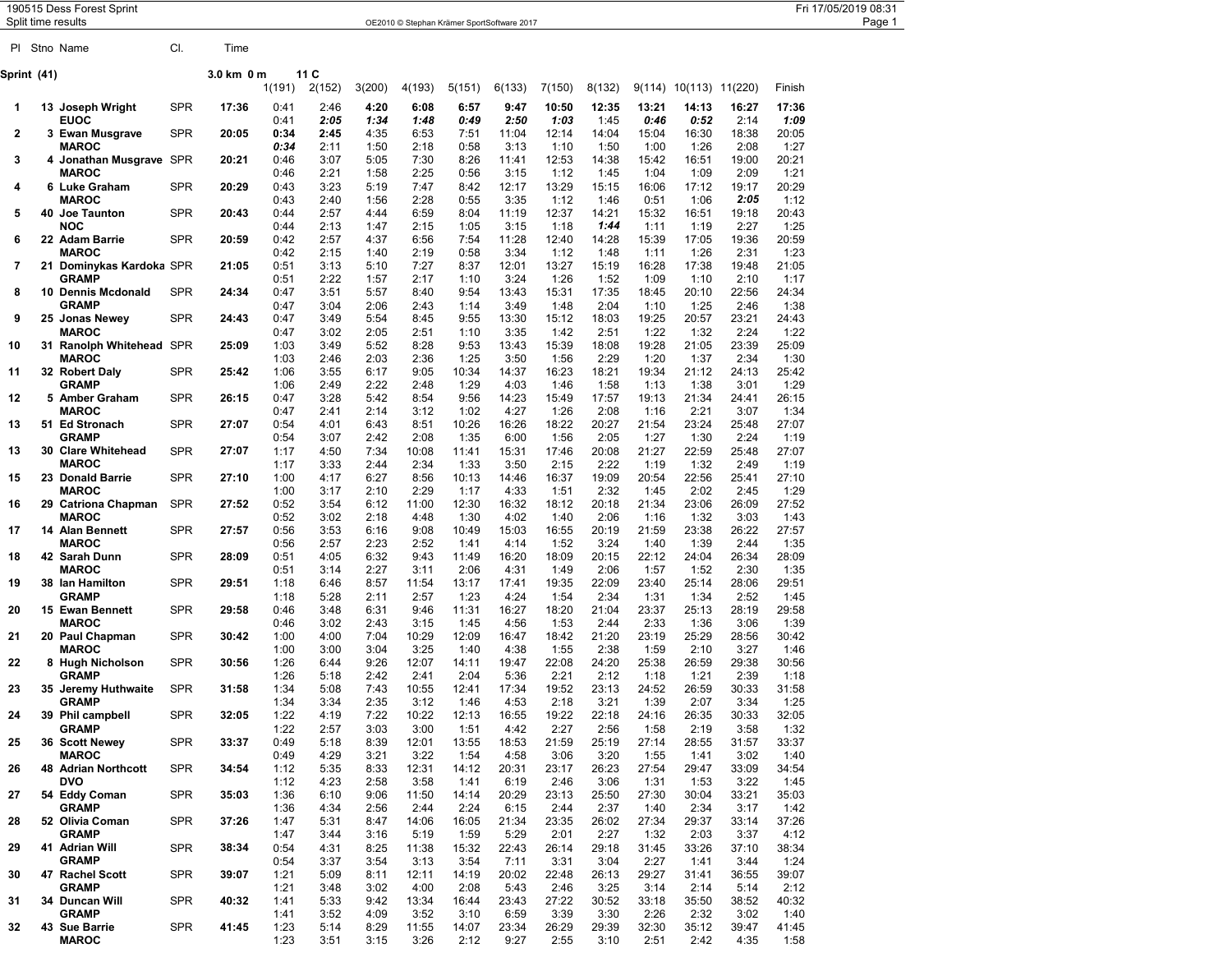|              | Split time results | 190515 Dess Forest Sprint                            |                          |                |                      |                      |                      |                       | OE2010 © Stephan Krämer SportSoftware 2017 |                        |                        |                        |                        |                              |                        |                        | Fri 17/05/2019 08:31<br>Page 1 |
|--------------|--------------------|------------------------------------------------------|--------------------------|----------------|----------------------|----------------------|----------------------|-----------------------|--------------------------------------------|------------------------|------------------------|------------------------|------------------------|------------------------------|------------------------|------------------------|--------------------------------|
|              |                    | PI Stno Name                                         | CI.                      | Time           |                      |                      |                      |                       |                                            |                        |                        |                        |                        |                              |                        |                        |                                |
|              | Sprint (41)        |                                                      |                          | 3.0 km 0 m     | 1(191)               | 11 C<br>2(152)       | 3(200)               | 4(193)                | 5(151)                                     | 6(133)                 | 7(150)                 | 8(132)                 |                        | $9(114)$ $10(113)$ $11(220)$ |                        | Finish                 |                                |
| -1           |                    | 13 Joseph Wright                                     | <b>SPR</b>               | 17:36          | 0:41                 | 2:46                 | 4:20                 | 6:08                  | 6:57                                       | 9:47                   | 10:50                  | 12:35                  | 13:21                  | 14:13                        | 16:27                  | 17:36                  |                                |
| $\mathbf{2}$ |                    | <b>EUOC</b><br>3 Ewan Musgrave<br><b>MAROC</b>       | <b>SPR</b>               | 20:05          | 0:41<br>0:34<br>0:34 | 2:05<br>2:45<br>2:11 | 1:34<br>4:35<br>1:50 | 1:48<br>6:53<br>2:18  | 0:49<br>7:51<br>0:58                       | 2:50<br>11:04<br>3:13  | 1:03<br>12:14<br>1:10  | 1:45<br>14:04<br>1:50  | 0:46<br>15:04<br>1:00  | 0:52<br>16:30<br>1:26        | 2:14<br>18:38<br>2:08  | 1:09<br>20:05<br>1:27  |                                |
| 3            |                    | 4 Jonathan Musgrave SPR<br><b>MAROC</b>              |                          | 20:21          | 0:46<br>0:46         | 3:07<br>2:21         | 5:05<br>1:58         | 7:30<br>2:25          | 8:26<br>0:56                               | 11:41<br>3:15          | 12:53<br>1:12          | 14:38<br>1:45          | 15:42<br>1:04          | 16:51<br>1:09                | 19:00<br>2:09          | 20:21<br>1:21          |                                |
| 4            |                    | 6 Luke Graham<br><b>MAROC</b>                        | <b>SPR</b>               | 20:29          | 0:43<br>0:43         | 3:23<br>2:40         | 5:19<br>1:56         | 7:47<br>2:28          | 8:42<br>0:55                               | 12:17<br>3:35          | 13:29<br>1:12          | 15:15<br>1:46          | 16:06<br>0:51          | 17:12<br>1:06                | 19:17<br>2:05          | 20:29<br>1:12          |                                |
| 5            |                    | 40 Joe Taunton<br><b>NOC</b>                         | <b>SPR</b>               | 20:43          | 0:44<br>0:44         | 2:57<br>2:13         | 4:44<br>1:47         | 6:59<br>2:15          | 8:04<br>1:05                               | 11:19<br>3:15          | 12:37<br>1:18          | 14:21<br>1:44          | 15:32<br>1:11          | 16:51<br>1:19                | 19:18<br>2:27          | 20:43<br>1:25          |                                |
| 6            |                    | 22 Adam Barrie<br><b>MAROC</b>                       | <b>SPR</b>               | 20:59          | 0:42<br>0:42         | 2:57<br>2:15         | 4:37<br>1:40         | 6:56<br>2:19          | 7:54<br>0:58                               | 11:28<br>3:34          | 12:40<br>1:12          | 14:28<br>1:48          | 15:39<br>1:11          | 17:05<br>1:26                | 19:36<br>2:31          | 20:59<br>1:23          |                                |
|              |                    | 7 21 Dominykas Kardoka SPR<br><b>GRAMP</b>           |                          | 21:05          | 0:51<br>0:51         | 3:13<br>2:22         | 5:10<br>1:57         | 7:27<br>2:17          | 8:37<br>1:10                               | 12:01<br>3:24          | 13:27<br>1:26          | 15:19<br>1:52          | 16:28<br>1:09          | 17:38<br>1:10                | 19:48<br>2:10          | 21:05<br>1:17          |                                |
| 8            |                    | 10 Dennis Mcdonald<br><b>GRAMP</b>                   | <b>SPR</b>               | 24:34          | 0:47<br>0:47         | 3:51<br>3:04         | 5:57<br>2:06         | 8:40<br>2:43          | 9:54<br>1:14                               | 13:43<br>3:49          | 15:31<br>1:48          | 17:35<br>2:04          | 18:45<br>1:10          | 20:10<br>1:25                | 22:56<br>2:46          | 24:34<br>1:38          |                                |
| 9            |                    | 25 Jonas Newey<br><b>MAROC</b>                       | <b>SPR</b>               | 24:43          | 0:47<br>0:47         | 3:49<br>3:02         | 5:54<br>2:05         | 8:45<br>2:51          | 9:55<br>1:10                               | 13:30<br>3:35          | 15:12<br>1:42          | 18:03<br>2:51          | 19:25<br>1:22          | 20:57<br>1:32                | 23:21<br>2:24          | 24:43<br>1:22          |                                |
| 10           |                    | 31 Ranolph Whitehead SPR<br><b>MAROC</b>             |                          | 25:09          | 1:03<br>1:03         | 3:49<br>2:46         | 5:52<br>2:03         | 8:28<br>2:36          | 9:53<br>1:25                               | 13:43<br>3:50          | 15:39<br>1:56          | 18:08<br>2:29          | 19:28<br>1:20          | 21:05<br>1:37                | 23:39<br>2:34          | 25:09<br>1:30          |                                |
| 11           |                    | 32 Robert Daly<br><b>GRAMP</b>                       | <b>SPR</b>               | 25:42          | 1:06<br>1:06         | 3:55<br>2:49         | 6:17<br>2:22         | 9:05<br>2:48          | 10:34<br>1:29                              | 14:37<br>4:03          | 16:23<br>1:46          | 18:21<br>1:58          | 19:34<br>1:13          | 21:12<br>1:38                | 24:13<br>3:01          | 25:42<br>1:29          |                                |
| 12           |                    | 5 Amber Graham<br><b>MAROC</b>                       | <b>SPR</b>               | 26:15          | 0:47<br>0:47         | 3:28<br>2:41         | 5:42<br>2:14         | 8:54<br>3:12          | 9:56<br>1:02                               | 14:23<br>4:27          | 15:49<br>1:26          | 17:57<br>2:08          | 19:13<br>1:16          | 21:34<br>2:21                | 24:41<br>3:07          | 26:15<br>1:34          |                                |
| 13           |                    | 51 Ed Stronach<br><b>GRAMP</b><br>30 Clare Whitehead | <b>SPR</b><br><b>SPR</b> | 27:07          | 0:54<br>0:54         | 4:01<br>3:07         | 6:43<br>2:42<br>7:34 | 8:51<br>2:08          | 10:26<br>1:35                              | 16:26<br>6:00          | 18:22<br>1:56<br>17:46 | 20:27<br>2:05<br>20:08 | 21:54<br>1:27<br>21:27 | 23:24<br>1:30<br>22:59       | 25:48<br>2:24<br>25:48 | 27:07<br>1:19<br>27:07 |                                |
| 13<br>15     |                    | <b>MAROC</b><br>23 Donald Barrie                     | <b>SPR</b>               | 27:07<br>27:10 | 1:17<br>1:17<br>1:00 | 4:50<br>3:33<br>4:17 | 2:44<br>6:27         | 10:08<br>2:34<br>8:56 | 11:41<br>1:33<br>10:13                     | 15:31<br>3:50<br>14:46 | 2:15<br>16:37          | 2:22<br>19:09          | 1:19<br>20:54          | 1:32<br>22:56                | 2:49<br>25:41          | 1:19<br>27:10          |                                |
| 16           |                    | <b>MAROC</b><br>29 Catriona Chapman                  | SPR                      | 27:52          | 1:00<br>0:52         | 3:17<br>3:54         | 2:10<br>6:12         | 2:29<br>11:00         | 1:17<br>12:30                              | 4:33<br>16:32          | 1:51<br>18:12          | 2:32<br>20:18          | 1:45<br>21:34          | 2:02<br>23:06                | 2:45<br>26:09          | 1:29<br>27:52          |                                |
| 17           |                    | <b>MAROC</b><br>14 Alan Bennett                      | <b>SPR</b>               | 27:57          | 0:52<br>0:56         | 3:02<br>3:53         | 2:18<br>6:16         | 4:48<br>9:08          | 1:30<br>10:49                              | 4:02<br>15:03          | 1:40<br>16:55          | 2:06<br>20:19          | 1:16<br>21:59          | 1:32<br>23:38                | 3:03<br>26:22          | 1:43<br>27:57          |                                |
| 18           |                    | <b>MAROC</b><br>42 Sarah Dunn                        | <b>SPR</b>               | 28:09          | 0:56<br>0:51         | 2:57<br>4:05         | 2:23<br>6:32         | 2:52<br>9:43          | 1:41<br>11:49                              | 4:14<br>16:20          | 1:52<br>18:09          | 3:24<br>20:15          | 1:40<br>22:12          | 1:39<br>24:04                | 2:44<br>26:34          | 1:35<br>28:09          |                                |
| 19           |                    | <b>MAROC</b><br>38 Ian Hamilton                      | <b>SPR</b>               | 29:51          | 0:51<br>1:18         | 3:14<br>6:46         | 2:27<br>8:57         | 3:11<br>11:54         | 2:06<br>13:17                              | 4:31<br>17:41          | 1:49<br>19:35          | 2:06<br>22:09          | 1:57<br>23:40          | 1:52<br>25:14                | 2:30<br>28:06          | 1:35<br>29:51          |                                |
| 20           |                    | <b>GRAMP</b><br>15 Ewan Bennett                      | <b>SPR</b>               | 29:58          | 1:18<br>0:46         | 5:28<br>3:48         | 2:11<br>6:31         | 2:57<br>9:46          | 1:23<br>11:31                              | 4:24<br>16:27          | 1:54<br>18:20          | 2:34<br>21:04          | 1:31<br>23:37          | 1:34<br>25:13                | 2:52<br>28:19          | 1:45<br>29:58          |                                |
| 21           |                    | <b>MAROC</b><br>20 Paul Chapman                      | <b>SPR</b>               | 30:42          | 0:46<br>1:00         | 3:02<br>4:00         | 2:43<br>7:04         | 3:15<br>10:29         | 1:45<br>12:09                              | 4:56<br>16:47          | 1:53<br>18:42          | 2:44<br>21:20          | 2:33<br>23:19          | 1:36<br>25:29                | 3:06<br>28:56          | 1:39<br>30:42          |                                |
| 22           |                    | <b>MAROC</b><br>8 Hugh Nicholson                     | <b>SPR</b>               | 30:56          | 1:00<br>1:26         | 3:00<br>6:44         | 3:04<br>9:26         | 3:25<br>12:07         | 1:40<br>14:11                              | 4:38<br>19:47          | 1:55<br>22:08          | 2:38<br>24:20          | 1:59<br>25:38          | 2:10<br>26:59                | 3:27<br>29:38          | 1:46<br>30:56          |                                |
| 23           |                    | <b>GRAMP</b><br>35 Jeremy Huthwaite                  | SPR                      | 31:58          | 1:26<br>1:34         | 5:18<br>5:08         | 2:42<br>7:43         | 2:41<br>10:55         | 2:04<br>12:41                              | 5:36<br>17:34          | 2:21<br>19:52          | 2:12<br>23:13          | 1:18<br>24:52          | 1:21<br>26:59                | 2:39<br>30:33          | 1:18<br>31:58          |                                |
| 24           |                    | <b>GRAMP</b><br>39 Phil campbell                     | <b>SPR</b>               | 32:05          | 1:34<br>1:22         | 3:34<br>4:19         | 2:35<br>7:22         | 3:12<br>10:22         | 1:46<br>12:13                              | 4:53<br>16:55          | 2:18<br>19:22          | 3:21<br>22:18          | 1:39<br>24:16          | 2:07<br>26:35                | 3:34<br>30:33          | 1:25<br>32:05          |                                |
| 25           |                    | <b>GRAMP</b><br>36 Scott Newey                       | <b>SPR</b>               | 33:37          | 1:22<br>0:49         | 2:57<br>5:18         | 3:03<br>8:39         | 3:00<br>12:01         | 1:51<br>13:55                              | 4:42<br>18:53          | 2:27<br>21:59          | 2:56<br>25:19          | 1:58<br>27:14          | 2:19<br>28:55                | 3:58<br>31:57          | 1:32<br>33:37          |                                |
| 26           |                    | <b>MAROC</b><br>48 Adrian Northcott                  | <b>SPR</b>               | 34:54          | 0:49<br>1:12         | 4:29<br>5:35         | 3:21<br>8:33         | 3:22<br>12:31         | 1:54<br>14:12                              | 4:58<br>20:31          | 3:06<br>23:17          | 3:20<br>26:23          | 1:55<br>27:54          | 1:41<br>29:47                | 3:02<br>33:09          | 1:40<br>34:54          |                                |
| 27           |                    | <b>DVO</b><br>54 Eddy Coman                          | <b>SPR</b>               | 35:03          | 1:12<br>1:36         | 4:23<br>6:10         | 2:58<br>9:06         | 3:58<br>11:50         | 1:41<br>14:14                              | 6:19<br>20:29          | 2:46<br>23:13          | 3:06<br>25:50          | 1:31<br>27:30          | 1:53<br>30:04                | 3:22<br>33:21          | 1:45<br>35:03          |                                |
| 28           |                    | <b>GRAMP</b><br>52 Olivia Coman                      | <b>SPR</b>               | 37:26          | 1:36<br>1:47         | 4:34<br>5:31         | 2:56<br>8:47         | 2:44<br>14:06         | 2:24<br>16:05                              | 6:15<br>21:34          | 2:44<br>23:35          | 2:37<br>26:02          | 1:40<br>27:34          | 2:34<br>29:37                | 3:17<br>33:14          | 1:42<br>37:26          |                                |
| 29           |                    | <b>GRAMP</b><br>41 Adrian Will                       | <b>SPR</b>               | 38:34          | 1:47<br>0:54         | 3:44<br>4:31         | 3:16<br>8:25         | 5:19<br>11:38         | 1:59<br>15:32                              | 5:29<br>22:43          | 2:01<br>26:14          | 2:27<br>29:18          | 1:32<br>31:45          | 2:03<br>33:26                | 3:37<br>37:10          | 4:12<br>38:34          |                                |
| 30           |                    | <b>GRAMP</b><br>47 Rachel Scott                      | <b>SPR</b>               | 39:07          | 0:54<br>1:21         | 3:37<br>5:09         | 3:54<br>8:11         | 3:13<br>12:11         | 3:54<br>14:19                              | 7:11<br>20:02          | 3:31<br>22:48          | 3:04<br>26:13          | 2:27<br>29:27          | 1:41<br>31:41                | 3:44<br>36:55          | 1:24<br>39:07          |                                |
| 31           |                    | <b>GRAMP</b><br>34 Duncan Will                       | <b>SPR</b>               | 40:32          | 1:21<br>1:41         | 3:48<br>5:33         | 3:02<br>9:42         | 4:00<br>13:34         | 2:08<br>16:44                              | 5:43<br>23:43          | 2:46<br>27:22          | 3:25<br>30:52          | 3:14<br>33:18          | 2:14<br>35:50                | 5:14<br>38:52          | 2:12<br>40:32          |                                |
| 32           |                    | <b>GRAMP</b><br>43 Sue Barrie                        | <b>SPR</b>               | 41:45          | 1:41<br>1:23         | 3:52<br>5:14         | 4:09<br>8:29         | 3:52<br>11:55         | 3:10<br>14:07                              | 6:59<br>23:34          | 3:39<br>26:29          | 3:30<br>29:39          | 2:26<br>32:30          | 2:32<br>35:12                | 3:02<br>39:47          | 1:40<br>41:45          |                                |